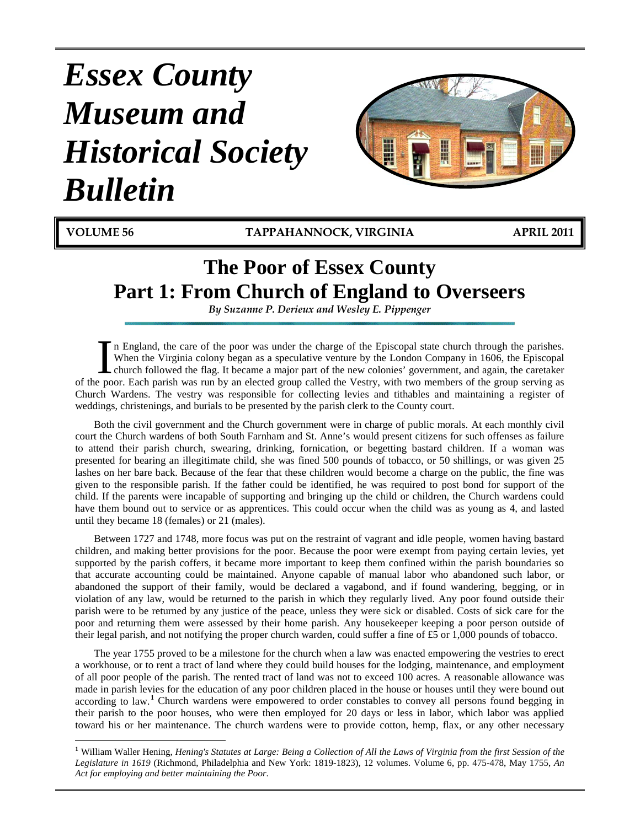# *Essex County Museum and Historical Society Bulletin*



**VOLUME 56 TAPPAHANNOCK, VIRGINIA APRIL 2011**

## **The Poor of Essex County Part 1: From Church of England to Overseers**

*By Suzanne P. Derieux and Wesley E. Pippenger*

n England, the care of the poor was under the charge of the Episcopal state church through the parishes. When the Virginia colony began as a speculative venture by the London Company in 1606, the Episcopal church followed the flag. It became a major part of the new colonies' government, and again, the caretaker I'm England, the care of the poor was under the charge of the Episcopal state church through the parishes.<br>When the Virginia colony began as a speculative venture by the London Company in 1606, the Episcopal<br>church followe Church Wardens. The vestry was responsible for collecting levies and tithables and maintaining a register of weddings, christenings, and burials to be presented by the parish clerk to the County court.

Both the civil government and the Church government were in charge of public morals. At each monthly civil court the Church wardens of both South Farnham and St. Anne's would present citizens for such offenses as failure to attend their parish church, swearing, drinking, fornication, or begetting bastard children. If a woman was presented for bearing an illegitimate child, she was fined 500 pounds of tobacco, or 50 shillings, or was given 25 lashes on her bare back. Because of the fear that these children would become a charge on the public, the fine was given to the responsible parish. If the father could be identified, he was required to post bond for support of the child. If the parents were incapable of supporting and bringing up the child or children, the Church wardens could have them bound out to service or as apprentices. This could occur when the child was as young as 4, and lasted until they became 18 (females) or 21 (males).

Between 1727 and 1748, more focus was put on the restraint of vagrant and idle people, women having bastard children, and making better provisions for the poor. Because the poor were exempt from paying certain levies, yet supported by the parish coffers, it became more important to keep them confined within the parish boundaries so that accurate accounting could be maintained. Anyone capable of manual labor who abandoned such labor, or abandoned the support of their family, would be declared a vagabond, and if found wandering, begging, or in violation of any law, would be returned to the parish in which they regularly lived. Any poor found outside their parish were to be returned by any justice of the peace, unless they were sick or disabled. Costs of sick care for the poor and returning them were assessed by their home parish. Any housekeeper keeping a poor person outside of their legal parish, and not notifying the proper church warden, could suffer a fine of £5 or 1,000 pounds of tobacco.

The year 1755 proved to be a milestone for the church when a law was enacted empowering the vestries to erect a workhouse, or to rent a tract of land where they could build houses for the lodging, maintenance, and employment of all poor people of the parish. The rented tract of land was not to exceed 100 acres. A reasonable allowance was made in parish levies for the education of any poor children placed in the house or houses until they were bound out according to law.<sup>[1](#page-0-0)</sup> Church wardens were empowered to order constables to convey all persons found begging in their parish to the poor houses, who were then employed for 20 days or less in labor, which labor was applied toward his or her maintenance. The church wardens were to provide cotton, hemp, flax, or any other necessary

<span id="page-0-0"></span>**<sup>1</sup>** William Waller Hening, *Hening's Statutes at Large: Being a Collection of All the Laws of Virginia from the first Session of the Legislature in 1619* (Richmond, Philadelphia and New York: 1819-1823), 12 volumes. Volume 6, pp. 475-478, May 1755, *An Act for employing and better maintaining the Poor*.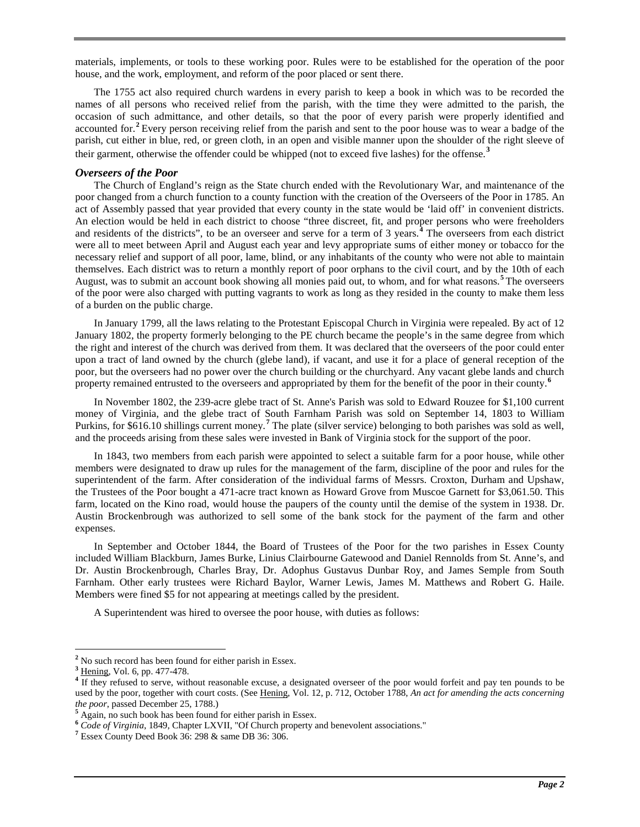materials, implements, or tools to these working poor. Rules were to be established for the operation of the poor house, and the work, employment, and reform of the poor placed or sent there.

The 1755 act also required church wardens in every parish to keep a book in which was to be recorded the names of all persons who received relief from the parish, with the time they were admitted to the parish, the occasion of such admittance, and other details, so that the poor of every parish were properly identified and accounted for. **[2](#page-1-0)** Every person receiving relief from the parish and sent to the poor house was to wear a badge of the parish, cut either in blue, red, or green cloth, in an open and visible manner upon the shoulder of the right sleeve of their garment, otherwise the offender could be whipped (not to exceed five lashes) for the offense. **[3](#page-1-1)**

#### *Overseers of the Poor*

The Church of England's reign as the State church ended with the Revolutionary War, and maintenance of the poor changed from a church function to a county function with the creation of the Overseers of the Poor in 1785. An act of Assembly passed that year provided that every county in the state would be 'laid off' in convenient districts. An election would be held in each district to choose "three discreet, fit, and proper persons who were freeholders and residents of the districts", to be an overseer and serve for a term of 3 years.**[4](#page-1-2)** The overseers from each district were all to meet between April and August each year and levy appropriate sums of either money or tobacco for the necessary relief and support of all poor, lame, blind, or any inhabitants of the county who were not able to maintain themselves. Each district was to return a monthly report of poor orphans to the civil court, and by the 10th of each August, was to submit an account book showing all monies paid out, to whom, and for what reasons. **[5](#page-1-3)** The overseers of the poor were also charged with putting vagrants to work as long as they resided in the county to make them less of a burden on the public charge.

In January 1799, all the laws relating to the Protestant Episcopal Church in Virginia were repealed. By act of 12 January 1802, the property formerly belonging to the PE church became the people's in the same degree from which the right and interest of the church was derived from them. It was declared that the overseers of the poor could enter upon a tract of land owned by the church (glebe land), if vacant, and use it for a place of general reception of the poor, but the overseers had no power over the church building or the churchyard. Any vacant glebe lands and church property remained entrusted to the overseers and appropriated by them for the benefit of the poor in their county. **[6](#page-1-4)**

In November 1802, the 239-acre glebe tract of St. Anne's Parish was sold to Edward Rouzee for \$1,100 current money of Virginia, and the glebe tract of South Farnham Parish was sold on September 14, 1803 to William Purkins, for \$616.10 shillings current money.**[7](#page-1-5)** The plate (silver service) belonging to both parishes was sold as well, and the proceeds arising from these sales were invested in Bank of Virginia stock for the support of the poor.

In 1843, two members from each parish were appointed to select a suitable farm for a poor house, while other members were designated to draw up rules for the management of the farm, discipline of the poor and rules for the superintendent of the farm. After consideration of the individual farms of Messrs. Croxton, Durham and Upshaw, the Trustees of the Poor bought a 471-acre tract known as Howard Grove from Muscoe Garnett for \$3,061.50. This farm, located on the Kino road, would house the paupers of the county until the demise of the system in 1938. Dr. Austin Brockenbrough was authorized to sell some of the bank stock for the payment of the farm and other expenses.

In September and October 1844, the Board of Trustees of the Poor for the two parishes in Essex County included William Blackburn, James Burke, Linius Clairbourne Gatewood and Daniel Rennolds from St. Anne's, and Dr. Austin Brockenbrough, Charles Bray, Dr. Adophus Gustavus Dunbar Roy, and James Semple from South Farnham. Other early trustees were Richard Baylor, Warner Lewis, James M. Matthews and Robert G. Haile. Members were fined \$5 for not appearing at meetings called by the president.

A Superintendent was hired to oversee the poor house, with duties as follows:

<span id="page-1-0"></span> $2^2$  No such record has been found for either parish in Essex.<br> $3^3$  Hening, Vol. 6, pp. 477-478.

<span id="page-1-1"></span>

<span id="page-1-2"></span><sup>&</sup>lt;sup>4</sup> If they refused to serve, without reasonable excuse, a designated overseer of the poor would forfeit and pay ten pounds to be used by the poor, together with court costs. (See Hening, Vol. 12, p. 712, October 1788, *An act for amending the acts concerning the poor*, passed December 25, 1788.)

<span id="page-1-3"></span><sup>&</sup>lt;sup>5</sup> Again, no such book has been found for either parish in Essex.

<span id="page-1-4"></span>**<sup>6</sup>** *Code of Virginia*, 1849, Chapter LXVII, "Of Church property and benevolent associations." **<sup>7</sup>** Essex County Deed Book 36: 298 & same DB 36: 306.

<span id="page-1-5"></span>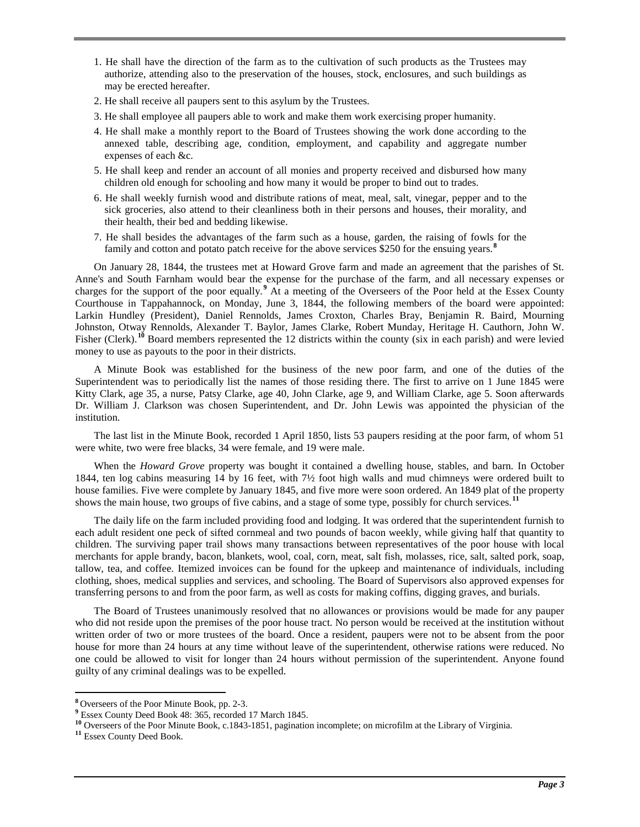- 1. He shall have the direction of the farm as to the cultivation of such products as the Trustees may authorize, attending also to the preservation of the houses, stock, enclosures, and such buildings as may be erected hereafter.
- 2. He shall receive all paupers sent to this asylum by the Trustees.
- 3. He shall employee all paupers able to work and make them work exercising proper humanity.
- 4. He shall make a monthly report to the Board of Trustees showing the work done according to the annexed table, describing age, condition, employment, and capability and aggregate number expenses of each &c.
- 5. He shall keep and render an account of all monies and property received and disbursed how many children old enough for schooling and how many it would be proper to bind out to trades.
- 6. He shall weekly furnish wood and distribute rations of meat, meal, salt, vinegar, pepper and to the sick groceries, also attend to their cleanliness both in their persons and houses, their morality, and their health, their bed and bedding likewise.
- 7. He shall besides the advantages of the farm such as a house, garden, the raising of fowls for the family and cotton and potato patch receive for the above services \$250 for the ensuing years.**[8](#page-2-0)**

On January 28, 1844, the trustees met at Howard Grove farm and made an agreement that the parishes of St. Anne's and South Farnham would bear the expense for the purchase of the farm, and all necessary expenses or charges for the support of the poor equally.**[9](#page-2-1)** At a meeting of the Overseers of the Poor held at the Essex County Courthouse in Tappahannock, on Monday, June 3, 1844, the following members of the board were appointed: Larkin Hundley (President), Daniel Rennolds, James Croxton, Charles Bray, Benjamin R. Baird, Mourning Johnston, Otway Rennolds, Alexander T. Baylor, James Clarke, Robert Munday, Heritage H. Cauthorn, John W. Fisher (Clerk).<sup>[10](#page-2-2)</sup> Board members represented the 12 districts within the county (six in each parish) and were levied money to use as payouts to the poor in their districts.

A Minute Book was established for the business of the new poor farm, and one of the duties of the Superintendent was to periodically list the names of those residing there. The first to arrive on 1 June 1845 were Kitty Clark, age 35, a nurse, Patsy Clarke, age 40, John Clarke, age 9, and William Clarke, age 5. Soon afterwards Dr. William J. Clarkson was chosen Superintendent, and Dr. John Lewis was appointed the physician of the institution.

The last list in the Minute Book, recorded 1 April 1850, lists 53 paupers residing at the poor farm, of whom 51 were white, two were free blacks, 34 were female, and 19 were male.

When the *Howard Grove* property was bought it contained a dwelling house, stables, and barn. In October 1844, ten log cabins measuring 14 by 16 feet, with 7½ foot high walls and mud chimneys were ordered built to house families. Five were complete by January 1845, and five more were soon ordered. An 1849 plat of the property shows the main house, two groups of five cabins, and a stage of some type, possibly for church services.**[11](#page-2-3)**

The daily life on the farm included providing food and lodging. It was ordered that the superintendent furnish to each adult resident one peck of sifted cornmeal and two pounds of bacon weekly, while giving half that quantity to children. The surviving paper trail shows many transactions between representatives of the poor house with local merchants for apple brandy, bacon, blankets, wool, coal, corn, meat, salt fish, molasses, rice, salt, salted pork, soap, tallow, tea, and coffee. Itemized invoices can be found for the upkeep and maintenance of individuals, including clothing, shoes, medical supplies and services, and schooling. The Board of Supervisors also approved expenses for transferring persons to and from the poor farm, as well as costs for making coffins, digging graves, and burials.

The Board of Trustees unanimously resolved that no allowances or provisions would be made for any pauper who did not reside upon the premises of the poor house tract. No person would be received at the institution without written order of two or more trustees of the board. Once a resident, paupers were not to be absent from the poor house for more than 24 hours at any time without leave of the superintendent, otherwise rations were reduced. No one could be allowed to visit for longer than 24 hours without permission of the superintendent. Anyone found guilty of any criminal dealings was to be expelled.

<span id="page-2-2"></span><span id="page-2-1"></span>

<span id="page-2-0"></span><sup>&</sup>lt;sup>8</sup> Overseers of the Poor Minute Book, pp. 2-3.<br>
<sup>9</sup> Essex County Deed Book 48: 365, recorded 17 March 1845.<br>
<sup>10</sup> Overseers of the Poor Minute Book, c.1843-1851, pagination incomplete; on microfilm at the Library of Virgi

<span id="page-2-3"></span>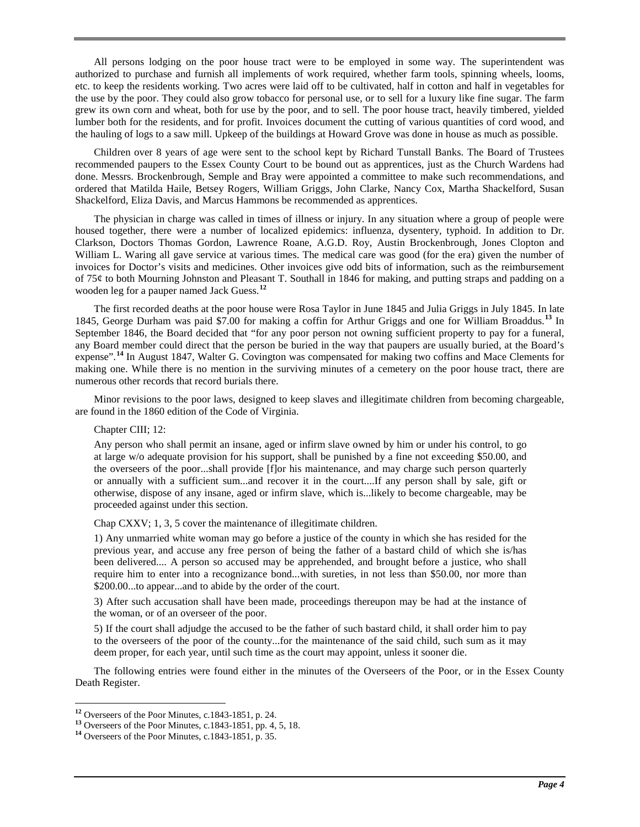All persons lodging on the poor house tract were to be employed in some way. The superintendent was authorized to purchase and furnish all implements of work required, whether farm tools, spinning wheels, looms, etc. to keep the residents working. Two acres were laid off to be cultivated, half in cotton and half in vegetables for the use by the poor. They could also grow tobacco for personal use, or to sell for a luxury like fine sugar. The farm grew its own corn and wheat, both for use by the poor, and to sell. The poor house tract, heavily timbered, yielded lumber both for the residents, and for profit. Invoices document the cutting of various quantities of cord wood, and the hauling of logs to a saw mill. Upkeep of the buildings at Howard Grove was done in house as much as possible.

Children over 8 years of age were sent to the school kept by Richard Tunstall Banks. The Board of Trustees recommended paupers to the Essex County Court to be bound out as apprentices, just as the Church Wardens had done. Messrs. Brockenbrough, Semple and Bray were appointed a committee to make such recommendations, and ordered that Matilda Haile, Betsey Rogers, William Griggs, John Clarke, Nancy Cox, Martha Shackelford, Susan Shackelford, Eliza Davis, and Marcus Hammons be recommended as apprentices.

The physician in charge was called in times of illness or injury. In any situation where a group of people were housed together, there were a number of localized epidemics: influenza, dysentery, typhoid. In addition to Dr. Clarkson, Doctors Thomas Gordon, Lawrence Roane, A.G.D. Roy, Austin Brockenbrough, Jones Clopton and William L. Waring all gave service at various times. The medical care was good (for the era) given the number of invoices for Doctor's visits and medicines. Other invoices give odd bits of information, such as the reimbursement of 75¢ to both Mourning Johnston and Pleasant T. Southall in 1846 for making, and putting straps and padding on a wooden leg for a pauper named Jack Guess.**[12](#page-3-0)**

The first recorded deaths at the poor house were Rosa Taylor in June 1845 and Julia Griggs in July 1845. In late 1845, George Durham was paid \$7.00 for making a coffin for Arthur Griggs and one for William Broaddus.**[13](#page-3-1)** In September 1846, the Board decided that "for any poor person not owning sufficient property to pay for a funeral, any Board member could direct that the person be buried in the way that paupers are usually buried, at the Board's expense".<sup>[14](#page-3-2)</sup> In August 1847, Walter G. Covington was compensated for making two coffins and Mace Clements for making one. While there is no mention in the surviving minutes of a cemetery on the poor house tract, there are numerous other records that record burials there.

Minor revisions to the poor laws, designed to keep slaves and illegitimate children from becoming chargeable, are found in the 1860 edition of the Code of Virginia.

Chapter CIII; 12:

Any person who shall permit an insane, aged or infirm slave owned by him or under his control, to go at large w/o adequate provision for his support, shall be punished by a fine not exceeding \$50.00, and the overseers of the poor...shall provide [f]or his maintenance, and may charge such person quarterly or annually with a sufficient sum...and recover it in the court....If any person shall by sale, gift or otherwise, dispose of any insane, aged or infirm slave, which is...likely to become chargeable, may be proceeded against under this section.

Chap CXXV; 1, 3, 5 cover the maintenance of illegitimate children.

1) Any unmarried white woman may go before a justice of the county in which she has resided for the previous year, and accuse any free person of being the father of a bastard child of which she is/has been delivered.... A person so accused may be apprehended, and brought before a justice, who shall require him to enter into a recognizance bond...with sureties, in not less than \$50.00, nor more than \$200.00...to appear...and to abide by the order of the court.

3) After such accusation shall have been made, proceedings thereupon may be had at the instance of the woman, or of an overseer of the poor.

5) If the court shall adjudge the accused to be the father of such bastard child, it shall order him to pay to the overseers of the poor of the county...for the maintenance of the said child, such sum as it may deem proper, for each year, until such time as the court may appoint, unless it sooner die.

The following entries were found either in the minutes of the Overseers of the Poor, or in the Essex County Death Register.

<span id="page-3-1"></span><span id="page-3-0"></span>**<sup>12</sup>** Overseers of the Poor Minutes, c.1843-1851, p. 24. **<sup>13</sup>** Overseers of the Poor Minutes, c.1843-1851, pp. 4, 5, 18. **<sup>14</sup>** Overseers of the Poor Minutes, c.1843-1851, p. 35.

<span id="page-3-2"></span>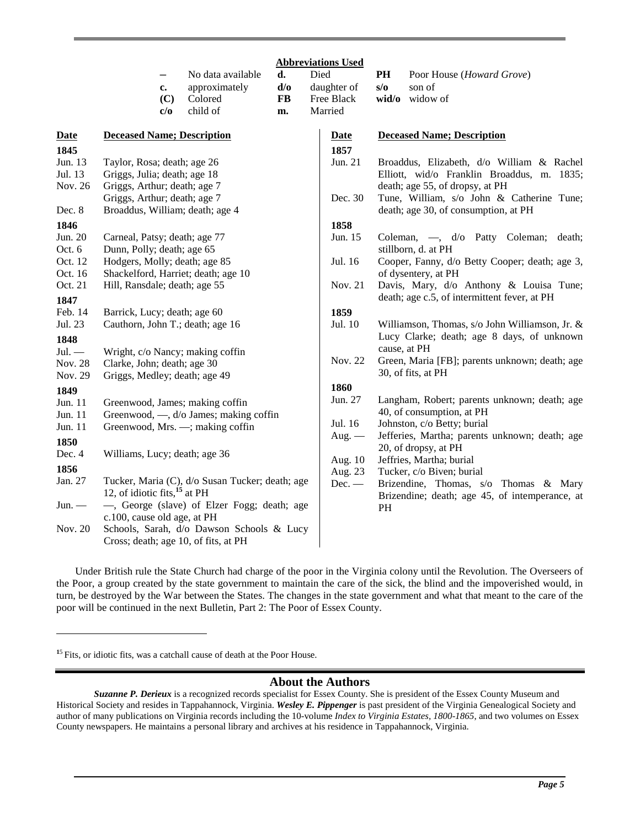|                                | No data available<br>d.<br>d/o<br>approximately<br>c.<br>(C)<br>Colored<br><b>FB</b><br>child of<br>c/o<br>m.                   | <b>Abbreviations Used</b><br>Died<br>daughter of<br>Free Black<br>Married | PH<br>Poor House (Howard Grove)<br>s/o<br>son of<br>wid/o<br>widow of                                                                                              |
|--------------------------------|---------------------------------------------------------------------------------------------------------------------------------|---------------------------------------------------------------------------|--------------------------------------------------------------------------------------------------------------------------------------------------------------------|
| <b>Date</b><br>1845<br>Jun. 13 | <b>Deceased Name; Description</b><br>Taylor, Rosa; death; age 26                                                                | <b>Date</b><br>1857<br>Jun. 21                                            | <b>Deceased Name; Description</b><br>Broaddus, Elizabeth, d/o William & Rachel                                                                                     |
| Jul. 13<br>Nov. 26<br>Dec. 8   | Griggs, Julia; death; age 18<br>Griggs, Arthur; death; age 7<br>Griggs, Arthur; death; age 7<br>Broaddus, William; death; age 4 | Dec. 30                                                                   | Elliott, wid/o Franklin Broaddus, m. 1835;<br>death; age 55, of dropsy, at PH<br>Tune, William, s/o John & Catherine Tune;<br>death; age 30, of consumption, at PH |
| 1846<br>Jun. 20<br>Oct. 6      | Carneal, Patsy; death; age 77<br>Dunn, Polly; death; age 65                                                                     | 1858<br>Jun. 15                                                           | Coleman, -, d/o Patty Coleman; death;<br>stillborn, d. at PH                                                                                                       |
| Oct. 12<br>Oct. 16             | Hodgers, Molly; death; age 85<br>Shackelford, Harriet; death; age 10                                                            | Jul. 16                                                                   | Cooper, Fanny, d/o Betty Cooper; death; age 3,<br>of dysentery, at PH                                                                                              |
| Oct. 21<br>1847                | Hill, Ransdale; death; age 55                                                                                                   | Nov. 21                                                                   | Davis, Mary, d/o Anthony & Louisa Tune;<br>death; age c.5, of intermittent fever, at PH                                                                            |
| Feb. 14<br>Jul. 23<br>1848     | Barrick, Lucy; death; age 60<br>Cauthorn, John T.; death; age 16                                                                | 1859<br>Jul. 10                                                           | Williamson, Thomas, s/o John Williamson, Jr. &<br>Lucy Clarke; death; age 8 days, of unknown                                                                       |
| $Jul.$ —<br>Nov. 28<br>Nov. 29 | Wright, c/o Nancy; making coffin<br>Clarke, John; death; age 30<br>Griggs, Medley; death; age 49                                | Nov. 22                                                                   | cause, at PH<br>Green, Maria [FB]; parents unknown; death; age<br>30, of fits, at PH                                                                               |
| 1849<br>Jun. 11<br>Jun. 11     | Greenwood, James; making coffin<br>Greenwood, —, d/o James; making coffin                                                       | 1860<br>Jun. 27                                                           | Langham, Robert; parents unknown; death; age<br>40, of consumption, at PH                                                                                          |
| Jun. 11<br>1850<br>Dec. 4      | Greenwood, Mrs. -; making coffin<br>Williams, Lucy; death; age 36                                                               | Jul. 16<br>Aug. $-$                                                       | Johnston, c/o Betty; burial<br>Jefferies, Martha; parents unknown; death; age<br>20, of dropsy, at PH                                                              |
| 1856<br>Jan. 27                | Tucker, Maria (C), d/o Susan Tucker; death; age                                                                                 | Aug. 10<br>Aug. 23<br>$Dec.$ —                                            | Jeffries, Martha; burial<br>Tucker, c/o Biven; burial                                                                                                              |
| $Jun.$ —                       | 12, of idiotic fits, $^{15}$ at PH<br>-, George (slave) of Elzer Fogg; death; age                                               |                                                                           | Brizendine, Thomas, s/o Thomas & Mary<br>Brizendine; death; age 45, of intemperance, at<br>PH                                                                      |
| Nov. 20                        | c.100, cause old age, at PH<br>Schools, Sarah, d/o Dawson Schools & Lucy<br>Cross; death; age 10, of fits, at PH                |                                                                           |                                                                                                                                                                    |

Under British rule the State Church had charge of the poor in the Virginia colony until the Revolution. The Overseers of the Poor, a group created by the state government to maintain the care of the sick, the blind and the impoverished would, in turn, be destroyed by the War between the States. The changes in the state government and what that meant to the care of the poor will be continued in the next Bulletin, Part 2: The Poor of Essex County.

 $\overline{a}$ 

#### **About the Authors**

<sup>&</sup>lt;sup>15</sup> Fits, or idiotic fits, was a catchall cause of death at the Poor House.

*Suzanne P. Derieux* is a recognized records specialist for Essex County. She is president of the Essex County Museum and Historical Society and resides in Tappahannock, Virginia. *Wesley E. Pippenger* is past president of the Virginia Genealogical Society and author of many publications on Virginia records including the 10-volume *Index to Virginia Estates, 1800-1865*, and two volumes on Essex County newspapers. He maintains a personal library and archives at his residence in Tappahannock, Virginia.